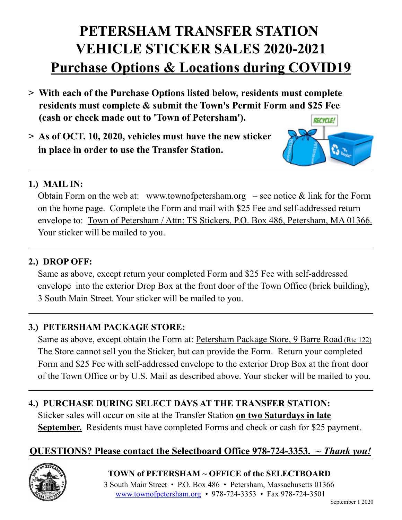# **PETERSHAM TRANSFER STATION VEHICLE STICKER SALES 2020-2021 Purchase Options & Locations during COVID19**

- **> With each of the Purchase Options listed below, residents must complete residents must complete & submit the Town's Permit Form and \$25 Fee (cash or check made out to 'Town of Petersham'). RECYCLE!**
- **> As of OCT. 10, 2020, vehicles must have the new sticker in place in order to use the Transfer Station.**



#### **1.) MAIL IN:**

Obtain Form on the web at: www.townofpetersham.org  $-$  see notice  $\&$  link for the Form on the home page. Complete the Form and mail with \$25 Fee and self-addressed return envelope to: Town of Petersham / Attn: TS Stickers, P.O. Box 486, Petersham, MA 01366. Your sticker will be mailed to you.

#### **2.) DROP OFF:**

Same as above, except return your completed Form and \$25 Fee with self-addressed envelope into the exterior Drop Box at the front door of the Town Office (brick building), 3 South Main Street. Your sticker will be mailed to you.

#### **3.) PETERSHAM PACKAGE STORE:**

Same as above, except obtain the Form at: Petersham Package Store, 9 Barre Road (Rte 122) The Store cannot sell you the Sticker, but can provide the Form. Return your completed Form and \$25 Fee with self-addressed envelope to the exterior Drop Box at the front door of the Town Office or by U.S. Mail as described above. Your sticker will be mailed to you.

#### **4.) PURCHASE DURING SELECT DAYS AT THE TRANSFER STATION:**

Sticker sales will occur on site at the Transfer Station **on two Saturdays in late September.** Residents must have completed Forms and check or cash for \$25 payment.

## **QUESTIONS? Please contact the Selectboard Office 978-724-3353.** *~ Thank you!*



**TOWN of PETERSHAM ~ OFFICE of the SELECTBOARD** 3 South Main Street • P.O. Box 486 • Petersham, Massachusetts 01366 www.townofpetersham.org *•* 978-724-3353 • Fax 978-724-3501